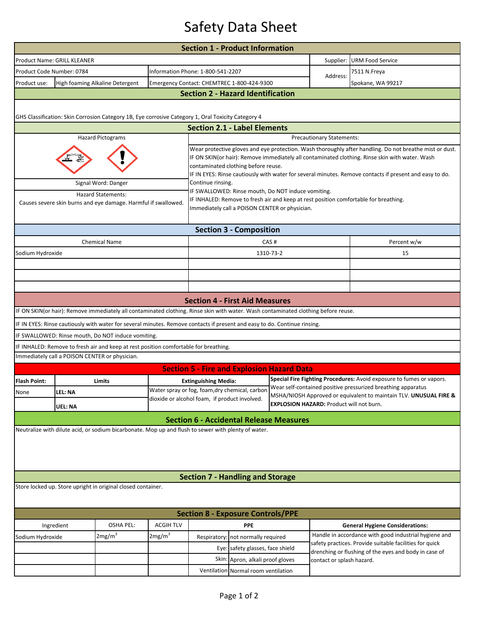## Safety Data Sheet

| <b>Section 1 - Product Information</b>                                                              |                                                                                                                                    |                                                                                                                                                                                                                                                                                                                                                             |                    |                                                                                                 |                                            |                                                 |                                                                                                                                                                                                           |                                                       |  |  |  |  |  |
|-----------------------------------------------------------------------------------------------------|------------------------------------------------------------------------------------------------------------------------------------|-------------------------------------------------------------------------------------------------------------------------------------------------------------------------------------------------------------------------------------------------------------------------------------------------------------------------------------------------------------|--------------------|-------------------------------------------------------------------------------------------------|--------------------------------------------|-------------------------------------------------|-----------------------------------------------------------------------------------------------------------------------------------------------------------------------------------------------------------|-------------------------------------------------------|--|--|--|--|--|
|                                                                                                     | Product Name: GRILL KLEANER                                                                                                        |                                                                                                                                                                                                                                                                                                                                                             |                    |                                                                                                 |                                            | Supplier:                                       | <b>URM Food Service</b>                                                                                                                                                                                   |                                                       |  |  |  |  |  |
| Product Code Number: 0784                                                                           |                                                                                                                                    |                                                                                                                                                                                                                                                                                                                                                             |                    | Information Phone: 1-800-541-2207                                                               |                                            |                                                 | Address:                                                                                                                                                                                                  | 7511 N.Freya                                          |  |  |  |  |  |
| Product use:                                                                                        | High foaming Alkaline Detergent                                                                                                    |                                                                                                                                                                                                                                                                                                                                                             |                    |                                                                                                 | Emergency Contact: CHEMTREC 1-800-424-9300 |                                                 | Spokane, WA 99217                                                                                                                                                                                         |                                                       |  |  |  |  |  |
| <b>Section 2 - Hazard Identification</b>                                                            |                                                                                                                                    |                                                                                                                                                                                                                                                                                                                                                             |                    |                                                                                                 |                                            |                                                 |                                                                                                                                                                                                           |                                                       |  |  |  |  |  |
|                                                                                                     |                                                                                                                                    |                                                                                                                                                                                                                                                                                                                                                             |                    |                                                                                                 |                                            |                                                 |                                                                                                                                                                                                           |                                                       |  |  |  |  |  |
|                                                                                                     | GHS Classification: Skin Corrosion Category 1B, Eye corrosive Category 1, Oral Toxicity Category 4                                 |                                                                                                                                                                                                                                                                                                                                                             |                    |                                                                                                 |                                            |                                                 |                                                                                                                                                                                                           |                                                       |  |  |  |  |  |
| <b>Section 2.1 - Label Elements</b>                                                                 |                                                                                                                                    |                                                                                                                                                                                                                                                                                                                                                             |                    |                                                                                                 |                                            |                                                 |                                                                                                                                                                                                           |                                                       |  |  |  |  |  |
|                                                                                                     | <b>Hazard Pictograms</b>                                                                                                           |                                                                                                                                                                                                                                                                                                                                                             |                    | Precautionary Statements:                                                                       |                                            |                                                 |                                                                                                                                                                                                           |                                                       |  |  |  |  |  |
|                                                                                                     |                                                                                                                                    | Wear protective gloves and eye protection. Wash thoroughly after handling. Do not breathe mist or dust.<br>IF ON SKIN(or hair): Remove immediately all contaminated clothing. Rinse skin with water. Wash<br>contaminated clothing before reuse.<br>IF IN EYES: Rinse cautiously with water for several minutes. Remove contacts if present and easy to do. |                    |                                                                                                 |                                            |                                                 |                                                                                                                                                                                                           |                                                       |  |  |  |  |  |
|                                                                                                     | Signal Word: Danger                                                                                                                |                                                                                                                                                                                                                                                                                                                                                             |                    | Continue rinsing.<br>IF SWALLOWED: Rinse mouth, Do NOT induce vomiting.                         |                                            |                                                 |                                                                                                                                                                                                           |                                                       |  |  |  |  |  |
|                                                                                                     | <b>Hazard Statements:</b><br>Causes severe skin burns and eye damage. Harmful if swallowed.                                        | IF INHALED: Remove to fresh air and keep at rest position comfortable for breathing.<br>Immediately call a POISON CENTER or physician.                                                                                                                                                                                                                      |                    |                                                                                                 |                                            |                                                 |                                                                                                                                                                                                           |                                                       |  |  |  |  |  |
| <b>Section 3 - Composition</b>                                                                      |                                                                                                                                    |                                                                                                                                                                                                                                                                                                                                                             |                    |                                                                                                 |                                            |                                                 |                                                                                                                                                                                                           |                                                       |  |  |  |  |  |
|                                                                                                     | <b>Chemical Name</b>                                                                                                               |                                                                                                                                                                                                                                                                                                                                                             |                    | CAS#                                                                                            |                                            |                                                 |                                                                                                                                                                                                           | Percent w/w                                           |  |  |  |  |  |
| Sodium Hydroxide                                                                                    |                                                                                                                                    |                                                                                                                                                                                                                                                                                                                                                             |                    | 1310-73-2                                                                                       |                                            |                                                 |                                                                                                                                                                                                           | 15                                                    |  |  |  |  |  |
|                                                                                                     |                                                                                                                                    |                                                                                                                                                                                                                                                                                                                                                             |                    |                                                                                                 |                                            |                                                 |                                                                                                                                                                                                           |                                                       |  |  |  |  |  |
|                                                                                                     |                                                                                                                                    |                                                                                                                                                                                                                                                                                                                                                             |                    |                                                                                                 |                                            |                                                 |                                                                                                                                                                                                           |                                                       |  |  |  |  |  |
|                                                                                                     |                                                                                                                                    |                                                                                                                                                                                                                                                                                                                                                             |                    |                                                                                                 |                                            |                                                 |                                                                                                                                                                                                           |                                                       |  |  |  |  |  |
|                                                                                                     |                                                                                                                                    |                                                                                                                                                                                                                                                                                                                                                             |                    | <b>Section 4 - First Aid Measures</b>                                                           |                                            |                                                 |                                                                                                                                                                                                           |                                                       |  |  |  |  |  |
|                                                                                                     | IF ON SKIN(or hair): Remove immediately all contaminated clothing. Rinse skin with water. Wash contaminated clothing before reuse. |                                                                                                                                                                                                                                                                                                                                                             |                    |                                                                                                 |                                            |                                                 |                                                                                                                                                                                                           |                                                       |  |  |  |  |  |
|                                                                                                     | IF IN EYES: Rinse cautiously with water for several minutes. Remove contacts if present and easy to do. Continue rinsing.          |                                                                                                                                                                                                                                                                                                                                                             |                    |                                                                                                 |                                            |                                                 |                                                                                                                                                                                                           |                                                       |  |  |  |  |  |
|                                                                                                     | IF SWALLOWED: Rinse mouth, Do NOT induce vomiting.                                                                                 |                                                                                                                                                                                                                                                                                                                                                             |                    |                                                                                                 |                                            |                                                 |                                                                                                                                                                                                           |                                                       |  |  |  |  |  |
|                                                                                                     | IF INHALED: Remove to fresh air and keep at rest position comfortable for breathing.                                               |                                                                                                                                                                                                                                                                                                                                                             |                    |                                                                                                 |                                            |                                                 |                                                                                                                                                                                                           |                                                       |  |  |  |  |  |
|                                                                                                     | Immediately call a POISON CENTER or physician.                                                                                     |                                                                                                                                                                                                                                                                                                                                                             |                    |                                                                                                 |                                            |                                                 |                                                                                                                                                                                                           |                                                       |  |  |  |  |  |
|                                                                                                     |                                                                                                                                    |                                                                                                                                                                                                                                                                                                                                                             |                    | <b>Section 5 - Fire and Explosion Hazard Data</b>                                               |                                            |                                                 |                                                                                                                                                                                                           |                                                       |  |  |  |  |  |
| <b>Flash Point:</b>                                                                                 | Limits                                                                                                                             |                                                                                                                                                                                                                                                                                                                                                             |                    | <b>Extinguishing Media:</b>                                                                     |                                            |                                                 | Special Fire Fighting Procedures: Avoid exposure to fumes or vapors.<br>Wear self-contained positive pressurized breathing apparatus<br>MSHA/NIOSH Approved or equivalent to maintain TLV. UNUSUAL FIRE & |                                                       |  |  |  |  |  |
| None                                                                                                | LEL: NA                                                                                                                            |                                                                                                                                                                                                                                                                                                                                                             |                    | Water spray or fog, foam, dry chemical, carbon<br>dioxide or alcohol foam, if product involved. |                                            |                                                 |                                                                                                                                                                                                           |                                                       |  |  |  |  |  |
|                                                                                                     | UEL: NA                                                                                                                            |                                                                                                                                                                                                                                                                                                                                                             |                    |                                                                                                 |                                            | <b>EXPLOSION HAZARD: Product will not burn.</b> |                                                                                                                                                                                                           |                                                       |  |  |  |  |  |
|                                                                                                     |                                                                                                                                    |                                                                                                                                                                                                                                                                                                                                                             |                    | <b>Section 6 - Accidental Release Measures</b>                                                  |                                            |                                                 |                                                                                                                                                                                                           |                                                       |  |  |  |  |  |
| Neutralize with dilute acid, or sodium bicarbonate. Mop up and flush to sewer with plenty of water. |                                                                                                                                    |                                                                                                                                                                                                                                                                                                                                                             |                    |                                                                                                 |                                            |                                                 |                                                                                                                                                                                                           |                                                       |  |  |  |  |  |
|                                                                                                     | <b>Section 7 - Handling and Storage</b>                                                                                            |                                                                                                                                                                                                                                                                                                                                                             |                    |                                                                                                 |                                            |                                                 |                                                                                                                                                                                                           |                                                       |  |  |  |  |  |
| Store locked up. Store upright in original closed container.                                        |                                                                                                                                    |                                                                                                                                                                                                                                                                                                                                                             |                    |                                                                                                 |                                            |                                                 |                                                                                                                                                                                                           |                                                       |  |  |  |  |  |
| <b>Section 8 - Exposure Controls/PPE</b>                                                            |                                                                                                                                    |                                                                                                                                                                                                                                                                                                                                                             |                    |                                                                                                 |                                            |                                                 |                                                                                                                                                                                                           |                                                       |  |  |  |  |  |
|                                                                                                     | <b>OSHA PEL:</b><br>Ingredient                                                                                                     |                                                                                                                                                                                                                                                                                                                                                             | <b>ACGIH TLV</b>   |                                                                                                 | <b>PPE</b>                                 |                                                 |                                                                                                                                                                                                           | <b>General Hygiene Considerations:</b>                |  |  |  |  |  |
| Sodium Hydroxide                                                                                    | 2mg/m <sup>3</sup>                                                                                                                 |                                                                                                                                                                                                                                                                                                                                                             | 2mg/m <sup>3</sup> | Respiratory: not normally required                                                              |                                            |                                                 |                                                                                                                                                                                                           | Handle in accordance with good industrial hygiene and |  |  |  |  |  |
|                                                                                                     |                                                                                                                                    |                                                                                                                                                                                                                                                                                                                                                             |                    |                                                                                                 | Eye: safety glasses, face shield           |                                                 | safety practices. Provide suitable facilities for quick<br>drenching or flushing of the eyes and body in case of                                                                                          |                                                       |  |  |  |  |  |
|                                                                                                     |                                                                                                                                    |                                                                                                                                                                                                                                                                                                                                                             |                    |                                                                                                 | Skin: Apron, alkali proof gloves           |                                                 | contact or splash hazard.                                                                                                                                                                                 |                                                       |  |  |  |  |  |
| Ventilation Normal room ventilation                                                                 |                                                                                                                                    |                                                                                                                                                                                                                                                                                                                                                             |                    |                                                                                                 |                                            |                                                 |                                                                                                                                                                                                           |                                                       |  |  |  |  |  |